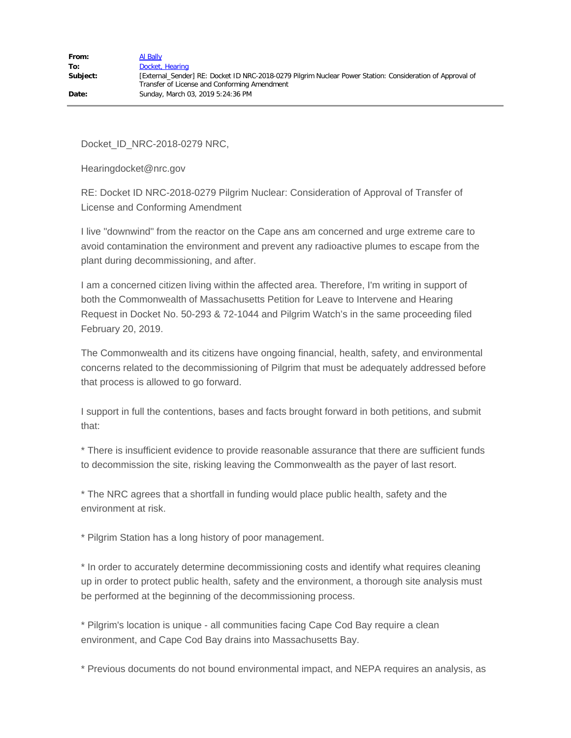Docket\_ID\_NRC-2018-0279 NRC,

Hearingdocket@nrc.gov

RE: Docket ID NRC-2018-0279 Pilgrim Nuclear: Consideration of Approval of Transfer of License and Conforming Amendment

I live "downwind" from the reactor on the Cape ans am concerned and urge extreme care to avoid contamination the environment and prevent any radioactive plumes to escape from the plant during decommissioning, and after.

I am a concerned citizen living within the affected area. Therefore, I'm writing in support of both the Commonwealth of Massachusetts Petition for Leave to Intervene and Hearing Request in Docket No. 50-293 & 72-1044 and Pilgrim Watch's in the same proceeding filed February 20, 2019.

The Commonwealth and its citizens have ongoing financial, health, safety, and environmental concerns related to the decommissioning of Pilgrim that must be adequately addressed before that process is allowed to go forward.

I support in full the contentions, bases and facts brought forward in both petitions, and submit that:

\* There is insufficient evidence to provide reasonable assurance that there are sufficient funds to decommission the site, risking leaving the Commonwealth as the payer of last resort.

\* The NRC agrees that a shortfall in funding would place public health, safety and the environment at risk.

\* Pilgrim Station has a long history of poor management.

\* In order to accurately determine decommissioning costs and identify what requires cleaning up in order to protect public health, safety and the environment, a thorough site analysis must be performed at the beginning of the decommissioning process.

\* Pilgrim's location is unique - all communities facing Cape Cod Bay require a clean environment, and Cape Cod Bay drains into Massachusetts Bay.

\* Previous documents do not bound environmental impact, and NEPA requires an analysis, as